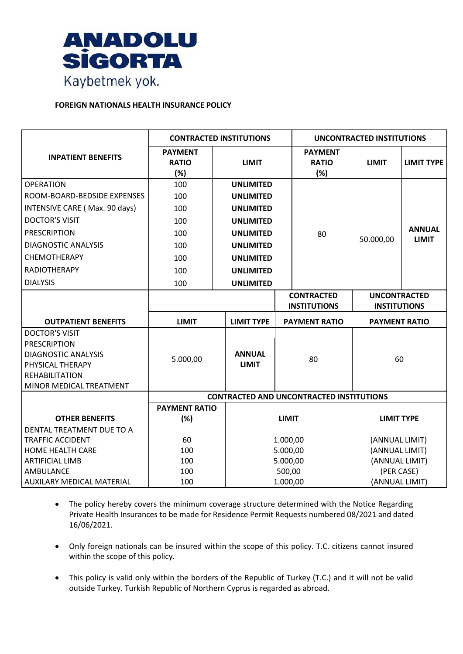

## **FOREIGN NATIONALS HEALTH INSURANCE POLICY**

|                                                                                                                                                    | <b>CONTRACTED INSTITUTIONS</b>                  |                               |                                                    | <b>UNCONTRACTED INSTITUTIONS</b>         |                                            |                               |  |
|----------------------------------------------------------------------------------------------------------------------------------------------------|-------------------------------------------------|-------------------------------|----------------------------------------------------|------------------------------------------|--------------------------------------------|-------------------------------|--|
| <b>INPATIENT BENEFITS</b>                                                                                                                          | <b>PAYMENT</b><br><b>RATIO</b><br>(%)           | <b>LIMIT</b>                  |                                                    | <b>PAYMENT</b><br><b>RATIO</b><br>(%)    | <b>LIMIT</b>                               | <b>LIMIT TYPE</b>             |  |
| <b>OPERATION</b>                                                                                                                                   | 100                                             | <b>UNLIMITED</b>              |                                                    |                                          |                                            |                               |  |
| ROOM-BOARD-BEDSIDE EXPENSES                                                                                                                        | 100                                             | <b>UNLIMITED</b>              |                                                    |                                          |                                            |                               |  |
| INTENSIVE CARE (Max. 90 days)                                                                                                                      | 100                                             | <b>UNLIMITED</b>              |                                                    | 80                                       | 50.000,00                                  |                               |  |
| <b>DOCTOR'S VISIT</b>                                                                                                                              | 100                                             | <b>UNLIMITED</b>              |                                                    |                                          |                                            |                               |  |
| <b>PRESCRIPTION</b>                                                                                                                                | 100                                             | <b>UNLIMITED</b>              |                                                    |                                          |                                            | <b>ANNUAL</b><br><b>LIMIT</b> |  |
| <b>DIAGNOSTIC ANALYSIS</b>                                                                                                                         | 100                                             | <b>UNLIMITED</b>              |                                                    |                                          |                                            |                               |  |
| <b>CHEMOTHERAPY</b>                                                                                                                                | 100                                             | <b>UNLIMITED</b>              |                                                    |                                          |                                            |                               |  |
| <b>RADIOTHERAPY</b>                                                                                                                                | 100                                             | <b>UNLIMITED</b>              |                                                    |                                          |                                            |                               |  |
| <b>DIALYSIS</b>                                                                                                                                    | 100                                             | <b>UNLIMITED</b>              |                                                    |                                          |                                            |                               |  |
|                                                                                                                                                    |                                                 |                               |                                                    | <b>CONTRACTED</b><br><b>INSTITUTIONS</b> | <b>UNCONTRACTED</b><br><b>INSTITUTIONS</b> |                               |  |
| <b>OUTPATIENT BENEFITS</b>                                                                                                                         | <b>LIMIT</b>                                    | <b>LIMIT TYPE</b>             |                                                    | <b>PAYMENT RATIO</b>                     | <b>PAYMENT RATIO</b>                       |                               |  |
| <b>DOCTOR'S VISIT</b><br><b>PRESCRIPTION</b><br><b>DIAGNOSTIC ANALYSIS</b><br>PHYSICAL THERAPY<br><b>REHABILITATION</b><br>MINOR MEDICAL TREATMENT | 5.000,00                                        | <b>ANNUAL</b><br><b>LIMIT</b> |                                                    | 80                                       | 60                                         |                               |  |
|                                                                                                                                                    | <b>CONTRACTED AND UNCONTRACTED INSTITUTIONS</b> |                               |                                                    |                                          |                                            |                               |  |
| <b>OTHER BENEFITS</b>                                                                                                                              | <b>PAYMENT RATIO</b><br>(%)                     |                               | <b>LIMIT</b>                                       |                                          | <b>LIMIT TYPE</b>                          |                               |  |
| DENTAL TREATMENT DUE TO A                                                                                                                          |                                                 |                               |                                                    |                                          |                                            |                               |  |
| <b>TRAFFIC ACCIDENT</b>                                                                                                                            | 60                                              |                               | 1.000,00                                           |                                          | (ANNUAL LIMIT)                             |                               |  |
| HOME HEALTH CARE                                                                                                                                   | 100                                             |                               | 5.000,00                                           |                                          | (ANNUAL LIMIT)                             |                               |  |
| <b>ARTIFICIAL LIMB</b><br>AMBULANCE                                                                                                                | 100<br>100                                      |                               | 5.000,00                                           |                                          | (ANNUAL LIMIT)                             |                               |  |
| AUXILARY MEDICAL MATERIAL                                                                                                                          | 100                                             |                               | 500,00<br>(PER CASE)<br>1.000,00<br>(ANNUAL LIMIT) |                                          |                                            |                               |  |

- The policy hereby covers the minimum coverage structure determined with the Notice Regarding Private Health Insurances to be made for Residence Permit Requests numbered 08/2021 and dated 16/06/2021.
- Only foreign nationals can be insured within the scope of this policy. T.C. citizens cannot insured within the scope of this policy.
- This policy is valid only within the borders of the Republic of Turkey (T.C.) and it will not be valid outside Turkey. Turkish Republic of Northern Cyprus is regarded as abroad.